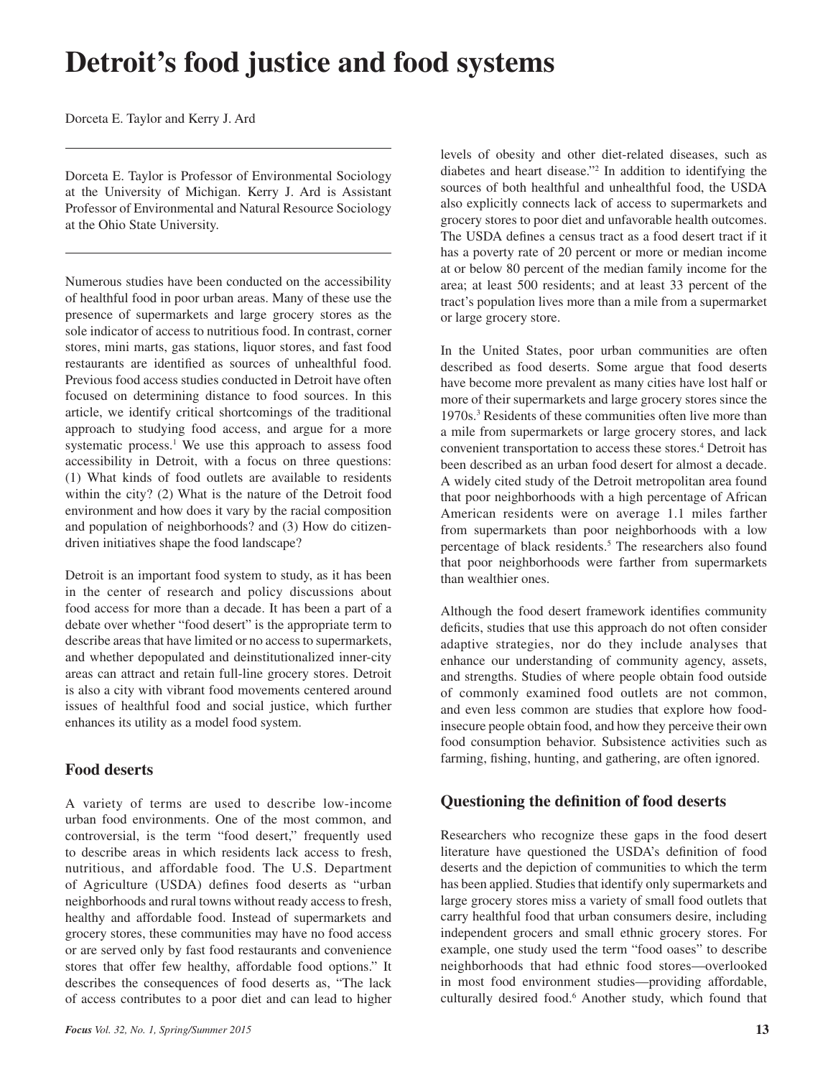# **Detroit's food justice and food systems**

Dorceta E. Taylor and Kerry J. Ard

Dorceta E. Taylor is Professor of Environmental Sociology at the University of Michigan. Kerry J. Ard is Assistant Professor of Environmental and Natural Resource Sociology at the Ohio State University.

Numerous studies have been conducted on the accessibility of healthful food in poor urban areas. Many of these use the presence of supermarkets and large grocery stores as the sole indicator of access to nutritious food. In contrast, corner stores, mini marts, gas stations, liquor stores, and fast food restaurants are identified as sources of unhealthful food. Previous food access studies conducted in Detroit have often focused on determining distance to food sources. In this article, we identify critical shortcomings of the traditional approach to studying food access, and argue for a more systematic process.<sup>1</sup> We use this approach to assess food accessibility in Detroit, with a focus on three questions: (1) What kinds of food outlets are available to residents within the city? (2) What is the nature of the Detroit food environment and how does it vary by the racial composition and population of neighborhoods? and (3) How do citizendriven initiatives shape the food landscape?

Detroit is an important food system to study, as it has been in the center of research and policy discussions about food access for more than a decade. It has been a part of a debate over whether "food desert" is the appropriate term to describe areas that have limited or no access to supermarkets, and whether depopulated and deinstitutionalized inner-city areas can attract and retain full-line grocery stores. Detroit is also a city with vibrant food movements centered around issues of healthful food and social justice, which further enhances its utility as a model food system.

## **Food deserts**

A variety of terms are used to describe low-income urban food environments. One of the most common, and controversial, is the term "food desert," frequently used to describe areas in which residents lack access to fresh, nutritious, and affordable food. The U.S. Department of Agriculture (USDA) defines food deserts as "urban neighborhoods and rural towns without ready access to fresh, healthy and affordable food. Instead of supermarkets and grocery stores, these communities may have no food access or are served only by fast food restaurants and convenience stores that offer few healthy, affordable food options." It describes the consequences of food deserts as, "The lack of access contributes to a poor diet and can lead to higher

levels of obesity and other diet-related diseases, such as diabetes and heart disease."2 In addition to identifying the sources of both healthful and unhealthful food, the USDA also explicitly connects lack of access to supermarkets and grocery stores to poor diet and unfavorable health outcomes. The USDA defines a census tract as a food desert tract if it has a poverty rate of 20 percent or more or median income at or below 80 percent of the median family income for the area; at least 500 residents; and at least 33 percent of the tract's population lives more than a mile from a supermarket or large grocery store.

In the United States, poor urban communities are often described as food deserts. Some argue that food deserts have become more prevalent as many cities have lost half or more of their supermarkets and large grocery stores since the 1970s.3 Residents of these communities often live more than a mile from supermarkets or large grocery stores, and lack convenient transportation to access these stores.4 Detroit has been described as an urban food desert for almost a decade. A widely cited study of the Detroit metropolitan area found that poor neighborhoods with a high percentage of African American residents were on average 1.1 miles farther from supermarkets than poor neighborhoods with a low percentage of black residents.<sup>5</sup> The researchers also found that poor neighborhoods were farther from supermarkets than wealthier ones.

Although the food desert framework identifies community deficits, studies that use this approach do not often consider adaptive strategies, nor do they include analyses that enhance our understanding of community agency, assets, and strengths. Studies of where people obtain food outside of commonly examined food outlets are not common, and even less common are studies that explore how foodinsecure people obtain food, and how they perceive their own food consumption behavior. Subsistence activities such as farming, fishing, hunting, and gathering, are often ignored.

# **Questioning the definition of food deserts**

Researchers who recognize these gaps in the food desert literature have questioned the USDA's definition of food deserts and the depiction of communities to which the term has been applied. Studies that identify only supermarkets and large grocery stores miss a variety of small food outlets that carry healthful food that urban consumers desire, including independent grocers and small ethnic grocery stores. For example, one study used the term "food oases" to describe neighborhoods that had ethnic food stores—overlooked in most food environment studies—providing affordable, culturally desired food.<sup>6</sup> Another study, which found that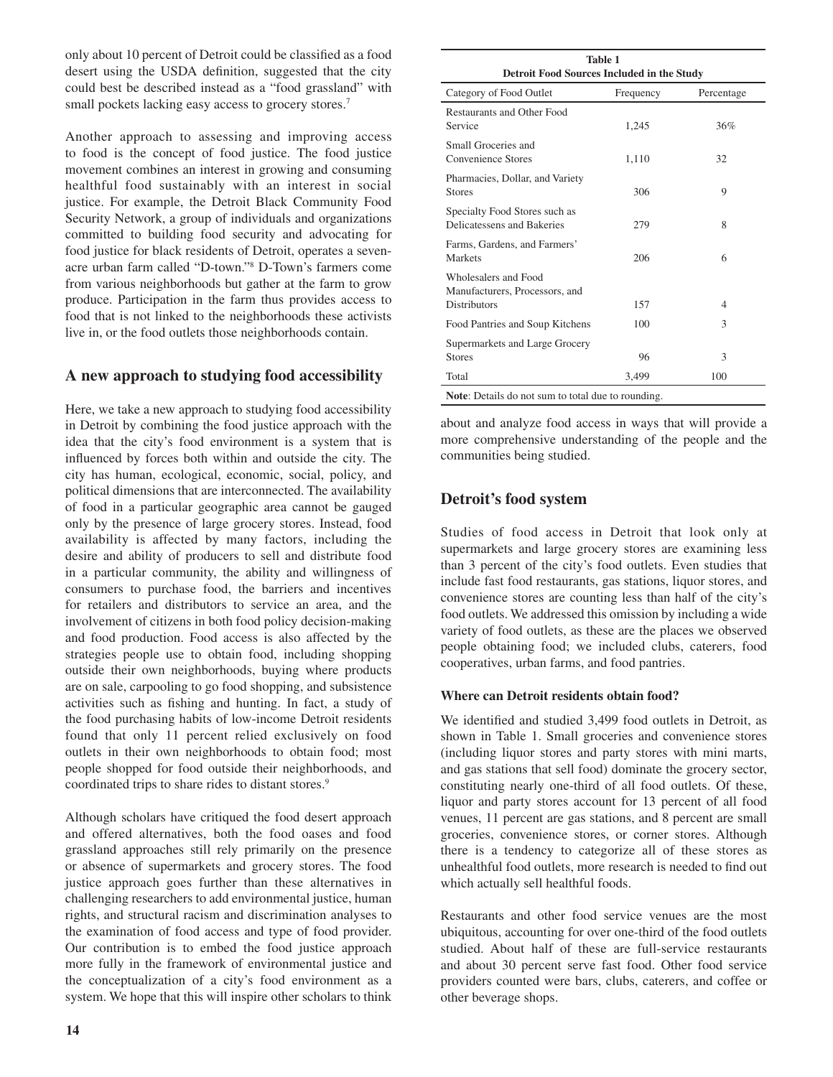only about 10 percent of Detroit could be classified as a food desert using the USDA definition, suggested that the city could best be described instead as a "food grassland" with small pockets lacking easy access to grocery stores.<sup>7</sup>

Another approach to assessing and improving access to food is the concept of food justice. The food justice movement combines an interest in growing and consuming healthful food sustainably with an interest in social justice. For example, the Detroit Black Community Food Security Network, a group of individuals and organizations committed to building food security and advocating for food justice for black residents of Detroit, operates a sevenacre urban farm called "D-town."8 D-Town's farmers come from various neighborhoods but gather at the farm to grow produce. Participation in the farm thus provides access to food that is not linked to the neighborhoods these activists live in, or the food outlets those neighborhoods contain.

## **A new approach to studying food accessibility**

Here, we take a new approach to studying food accessibility in Detroit by combining the food justice approach with the idea that the city's food environment is a system that is influenced by forces both within and outside the city. The city has human, ecological, economic, social, policy, and political dimensions that are interconnected. The availability of food in a particular geographic area cannot be gauged only by the presence of large grocery stores. Instead, food availability is affected by many factors, including the desire and ability of producers to sell and distribute food in a particular community, the ability and willingness of consumers to purchase food, the barriers and incentives for retailers and distributors to service an area, and the involvement of citizens in both food policy decision-making and food production. Food access is also affected by the strategies people use to obtain food, including shopping outside their own neighborhoods, buying where products are on sale, carpooling to go food shopping, and subsistence activities such as fishing and hunting. In fact, a study of the food purchasing habits of low-income Detroit residents found that only 11 percent relied exclusively on food outlets in their own neighborhoods to obtain food; most people shopped for food outside their neighborhoods, and coordinated trips to share rides to distant stores.<sup>9</sup>

Although scholars have critiqued the food desert approach and offered alternatives, both the food oases and food grassland approaches still rely primarily on the presence or absence of supermarkets and grocery stores. The food justice approach goes further than these alternatives in challenging researchers to add environmental justice, human rights, and structural racism and discrimination analyses to the examination of food access and type of food provider. Our contribution is to embed the food justice approach more fully in the framework of environmental justice and the conceptualization of a city's food environment as a system. We hope that this will inspire other scholars to think

| <b>Table 1</b><br>Detroit Food Sources Included in the Study                  |           |            |  |  |  |  |  |  |
|-------------------------------------------------------------------------------|-----------|------------|--|--|--|--|--|--|
| Category of Food Outlet                                                       | Frequency | Percentage |  |  |  |  |  |  |
| <b>Restaurants and Other Food</b><br>Service                                  | 1,245     | 36%        |  |  |  |  |  |  |
| Small Groceries and<br>Convenience Stores                                     | 1,110     | 32         |  |  |  |  |  |  |
| Pharmacies, Dollar, and Variety<br><b>Stores</b>                              | 306       | 9          |  |  |  |  |  |  |
| Specialty Food Stores such as<br>Delicatessens and Bakeries                   | 279       | 8          |  |  |  |  |  |  |
| Farms, Gardens, and Farmers'<br>Markets                                       | 206       | 6          |  |  |  |  |  |  |
| Wholesalers and Food<br>Manufacturers, Processors, and<br><b>Distributors</b> | 157       | 4          |  |  |  |  |  |  |
| Food Pantries and Soup Kitchens                                               | 100       | 3          |  |  |  |  |  |  |
| Supermarkets and Large Grocery<br><b>Stores</b>                               | 96        | 3          |  |  |  |  |  |  |
| Total                                                                         | 3,499     | 100        |  |  |  |  |  |  |
| <b>Note:</b> Details do not sum to total due to rounding.                     |           |            |  |  |  |  |  |  |

about and analyze food access in ways that will provide a more comprehensive understanding of the people and the communities being studied.

# **Detroit's food system**

Studies of food access in Detroit that look only at supermarkets and large grocery stores are examining less than 3 percent of the city's food outlets. Even studies that include fast food restaurants, gas stations, liquor stores, and convenience stores are counting less than half of the city's food outlets. We addressed this omission by including a wide variety of food outlets, as these are the places we observed people obtaining food; we included clubs, caterers, food cooperatives, urban farms, and food pantries.

## **Where can Detroit residents obtain food?**

We identified and studied 3,499 food outlets in Detroit, as shown in Table 1. Small groceries and convenience stores (including liquor stores and party stores with mini marts, and gas stations that sell food) dominate the grocery sector, constituting nearly one-third of all food outlets. Of these, liquor and party stores account for 13 percent of all food venues, 11 percent are gas stations, and 8 percent are small groceries, convenience stores, or corner stores. Although there is a tendency to categorize all of these stores as unhealthful food outlets, more research is needed to find out which actually sell healthful foods.

Restaurants and other food service venues are the most ubiquitous, accounting for over one-third of the food outlets studied. About half of these are full-service restaurants and about 30 percent serve fast food. Other food service providers counted were bars, clubs, caterers, and coffee or other beverage shops.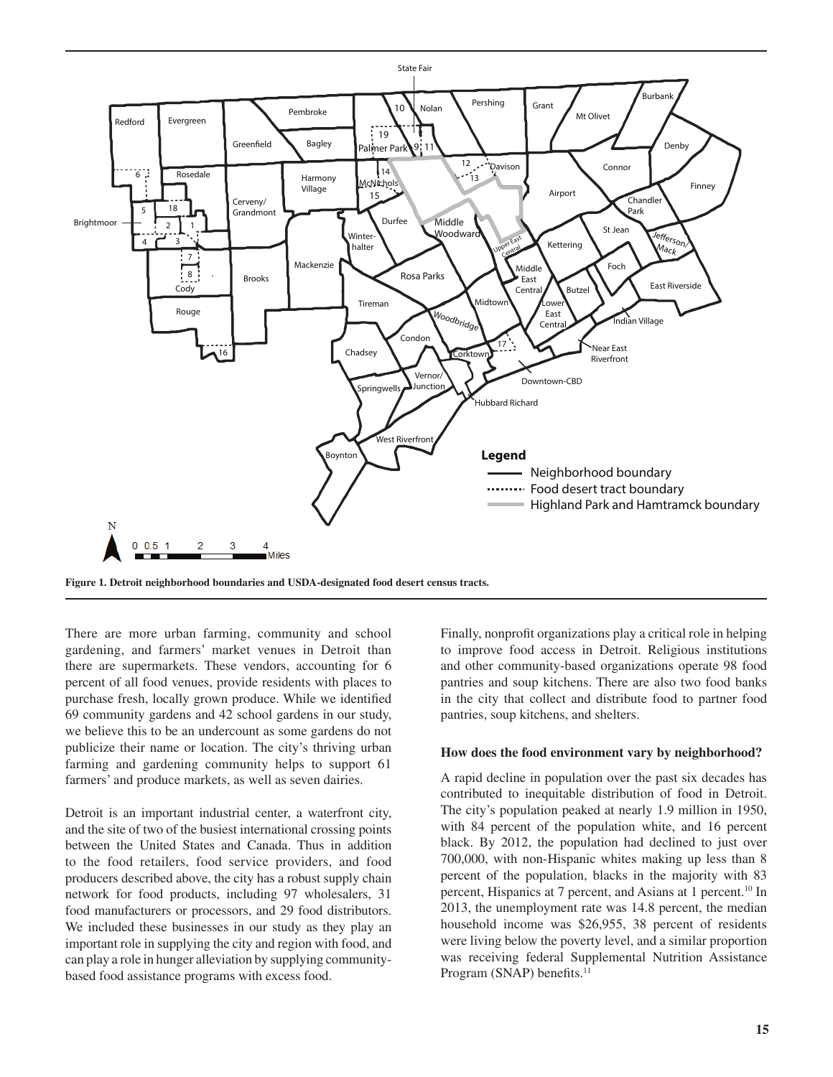

**Figure 1. Detroit neighborhood boundaries and USDA-designated food desert census tracts.**

There are more urban farming, community and school gardening, and farmers' market venues in Detroit than there are supermarkets. These vendors, accounting for 6 percent of all food venues, provide residents with places to purchase fresh, locally grown produce. While we identified 69 community gardens and 42 school gardens in our study, we believe this to be an undercount as some gardens do not publicize their name or location. The city's thriving urban farming and gardening community helps to support 61 farmers' and produce markets, as well as seven dairies.

Detroit is an important industrial center, a waterfront city, and the site of two of the busiest international crossing points between the United States and Canada. Thus in addition to the food retailers, food service providers, and food producers described above, the city has a robust supply chain network for food products, including 97 wholesalers, 31 food manufacturers or processors, and 29 food distributors. We included these businesses in our study as they play an important role in supplying the city and region with food, and can play a role in hunger alleviation by supplying communitybased food assistance programs with excess food.

Finally, nonprofit organizations play a critical role in helping to improve food access in Detroit. Religious institutions and other community-based organizations operate 98 food pantries and soup kitchens. There are also two food banks in the city that collect and distribute food to partner food pantries, soup kitchens, and shelters.

#### **How does the food environment vary by neighborhood?**

A rapid decline in population over the past six decades has contributed to inequitable distribution of food in Detroit. The city's population peaked at nearly 1.9 million in 1950, with 84 percent of the population white, and 16 percent black. By 2012, the population had declined to just over 700,000, with non-Hispanic whites making up less than 8 percent of the population, blacks in the majority with 83 percent, Hispanics at 7 percent, and Asians at 1 percent.<sup>10</sup> In 2013, the unemployment rate was 14.8 percent, the median household income was \$26,955, 38 percent of residents were living below the poverty level, and a similar proportion was receiving federal Supplemental Nutrition Assistance Program (SNAP) benefits.<sup>11</sup>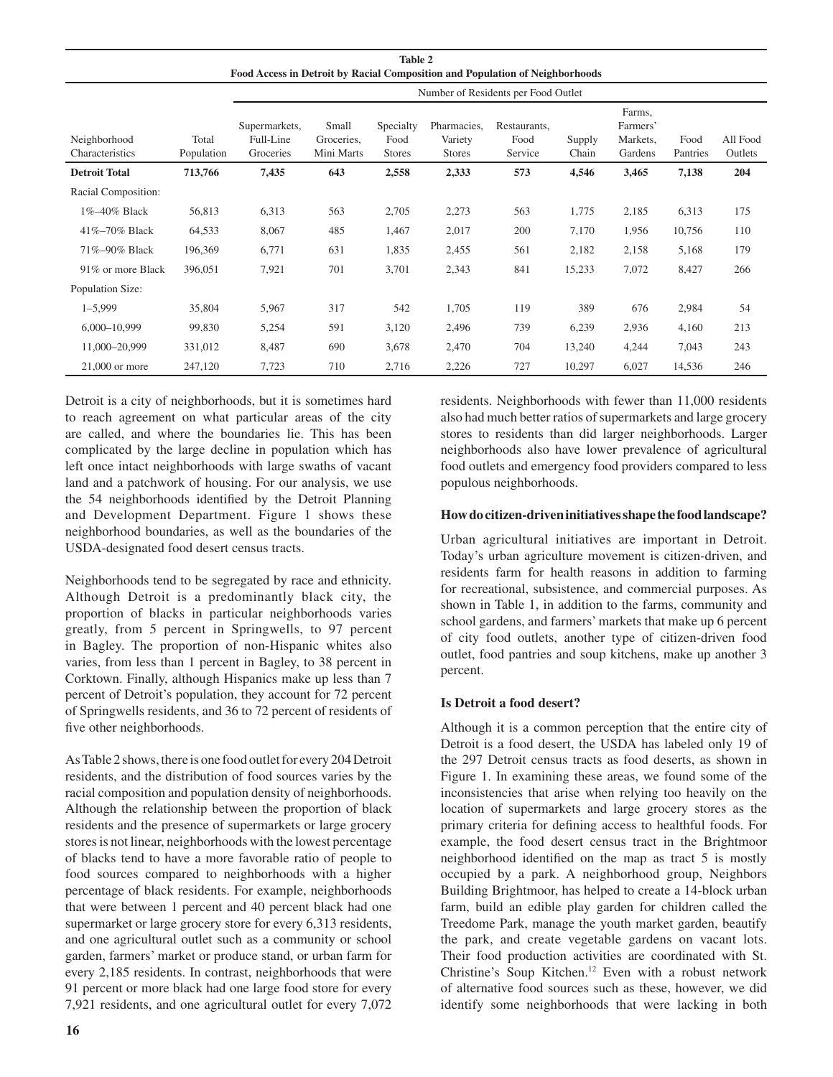| <b>Table 2</b><br>Food Access in Detroit by Racial Composition and Population of Neighborhoods |                     |                                         |                                   |                                    |                                         |                                 |                 |                                           |                  |                     |  |
|------------------------------------------------------------------------------------------------|---------------------|-----------------------------------------|-----------------------------------|------------------------------------|-----------------------------------------|---------------------------------|-----------------|-------------------------------------------|------------------|---------------------|--|
|                                                                                                |                     | Number of Residents per Food Outlet     |                                   |                                    |                                         |                                 |                 |                                           |                  |                     |  |
| Neighborhood<br>Characteristics                                                                | Total<br>Population | Supermarkets,<br>Full-Line<br>Groceries | Small<br>Groceries,<br>Mini Marts | Specialty<br>Food<br><b>Stores</b> | Pharmacies,<br>Variety<br><b>Stores</b> | Restaurants,<br>Food<br>Service | Supply<br>Chain | Farms,<br>Farmers'<br>Markets,<br>Gardens | Food<br>Pantries | All Food<br>Outlets |  |
| <b>Detroit Total</b>                                                                           | 713,766             | 7,435                                   | 643                               | 2,558                              | 2,333                                   | 573                             | 4,546           | 3,465                                     | 7,138            | 204                 |  |
| Racial Composition:                                                                            |                     |                                         |                                   |                                    |                                         |                                 |                 |                                           |                  |                     |  |
| 1%-40% Black                                                                                   | 56,813              | 6,313                                   | 563                               | 2,705                              | 2,273                                   | 563                             | 1,775           | 2,185                                     | 6,313            | 175                 |  |
| $41\% - 70\%$ Black                                                                            | 64,533              | 8,067                                   | 485                               | 1,467                              | 2,017                                   | 200                             | 7,170           | 1,956                                     | 10,756           | 110                 |  |
| 71%-90% Black                                                                                  | 196,369             | 6,771                                   | 631                               | 1,835                              | 2,455                                   | 561                             | 2,182           | 2,158                                     | 5,168            | 179                 |  |
| 91% or more Black                                                                              | 396,051             | 7,921                                   | 701                               | 3,701                              | 2,343                                   | 841                             | 15,233          | 7,072                                     | 8,427            | 266                 |  |
| Population Size:                                                                               |                     |                                         |                                   |                                    |                                         |                                 |                 |                                           |                  |                     |  |
| $1 - 5,999$                                                                                    | 35,804              | 5,967                                   | 317                               | 542                                | 1,705                                   | 119                             | 389             | 676                                       | 2,984            | 54                  |  |
| $6,000-10,999$                                                                                 | 99,830              | 5,254                                   | 591                               | 3,120                              | 2,496                                   | 739                             | 6,239           | 2,936                                     | 4,160            | 213                 |  |
| 11,000-20,999                                                                                  | 331,012             | 8,487                                   | 690                               | 3,678                              | 2,470                                   | 704                             | 13,240          | 4,244                                     | 7,043            | 243                 |  |
| $21,000$ or more                                                                               | 247,120             | 7,723                                   | 710                               | 2,716                              | 2,226                                   | 727                             | 10,297          | 6,027                                     | 14,536           | 246                 |  |

Detroit is a city of neighborhoods, but it is sometimes hard to reach agreement on what particular areas of the city are called, and where the boundaries lie. This has been complicated by the large decline in population which has left once intact neighborhoods with large swaths of vacant land and a patchwork of housing. For our analysis, we use the 54 neighborhoods identified by the Detroit Planning and Development Department. Figure 1 shows these neighborhood boundaries, as well as the boundaries of the USDA-designated food desert census tracts.

Neighborhoods tend to be segregated by race and ethnicity. Although Detroit is a predominantly black city, the proportion of blacks in particular neighborhoods varies greatly, from 5 percent in Springwells, to 97 percent in Bagley. The proportion of non-Hispanic whites also varies, from less than 1 percent in Bagley, to 38 percent in Corktown. Finally, although Hispanics make up less than 7 percent of Detroit's population, they account for 72 percent of Springwells residents, and 36 to 72 percent of residents of five other neighborhoods.

As Table 2 shows, there is one food outlet for every 204 Detroit residents, and the distribution of food sources varies by the racial composition and population density of neighborhoods. Although the relationship between the proportion of black residents and the presence of supermarkets or large grocery stores is not linear, neighborhoods with the lowest percentage of blacks tend to have a more favorable ratio of people to food sources compared to neighborhoods with a higher percentage of black residents. For example, neighborhoods that were between 1 percent and 40 percent black had one supermarket or large grocery store for every 6,313 residents, and one agricultural outlet such as a community or school garden, farmers' market or produce stand, or urban farm for every 2,185 residents. In contrast, neighborhoods that were 91 percent or more black had one large food store for every 7,921 residents, and one agricultural outlet for every 7,072 residents. Neighborhoods with fewer than 11,000 residents also had much better ratios of supermarkets and large grocery stores to residents than did larger neighborhoods. Larger neighborhoods also have lower prevalence of agricultural food outlets and emergency food providers compared to less populous neighborhoods.

## **How do citizen-driven initiatives shape the food landscape?**

Urban agricultural initiatives are important in Detroit. Today's urban agriculture movement is citizen-driven, and residents farm for health reasons in addition to farming for recreational, subsistence, and commercial purposes. As shown in Table 1, in addition to the farms, community and school gardens, and farmers' markets that make up 6 percent of city food outlets, another type of citizen-driven food outlet, food pantries and soup kitchens, make up another 3 percent.

## **Is Detroit a food desert?**

Although it is a common perception that the entire city of Detroit is a food desert, the USDA has labeled only 19 of the 297 Detroit census tracts as food deserts, as shown in Figure 1. In examining these areas, we found some of the inconsistencies that arise when relying too heavily on the location of supermarkets and large grocery stores as the primary criteria for defining access to healthful foods. For example, the food desert census tract in the Brightmoor neighborhood identified on the map as tract 5 is mostly occupied by a park. A neighborhood group, Neighbors Building Brightmoor, has helped to create a 14-block urban farm, build an edible play garden for children called the Treedome Park, manage the youth market garden, beautify the park, and create vegetable gardens on vacant lots. Their food production activities are coordinated with St. Christine's Soup Kitchen.12 Even with a robust network of alternative food sources such as these, however, we did identify some neighborhoods that were lacking in both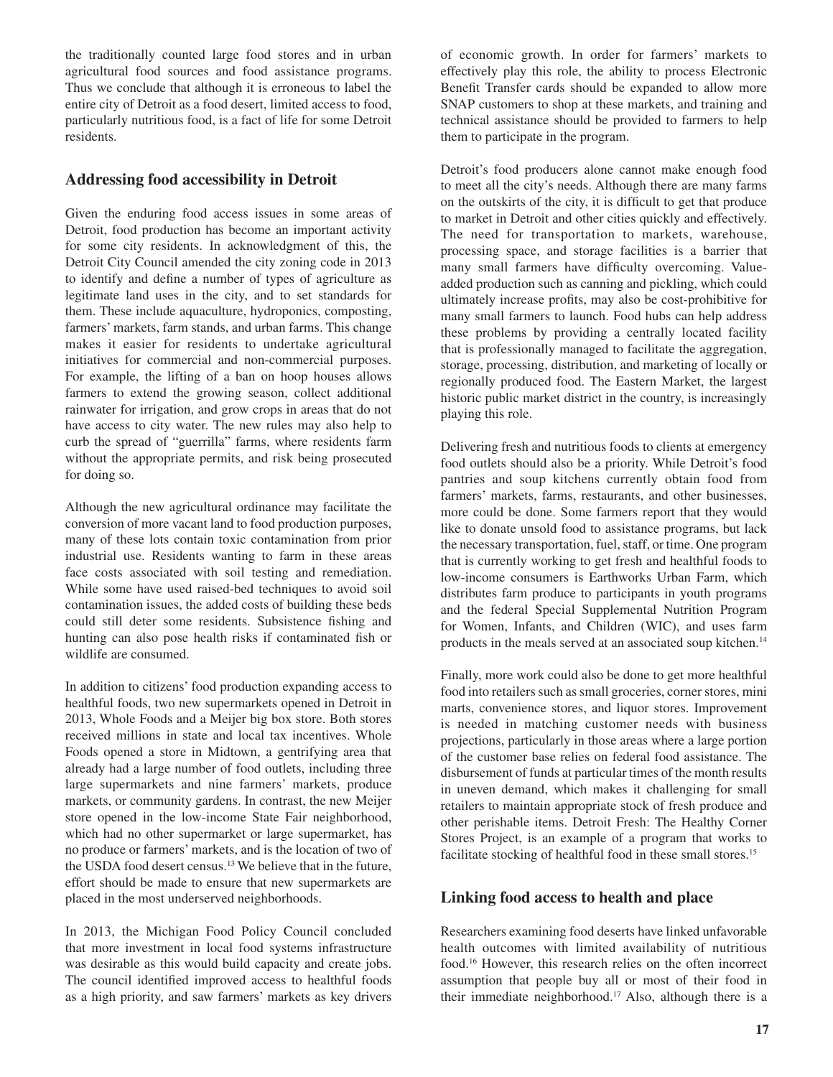the traditionally counted large food stores and in urban agricultural food sources and food assistance programs. Thus we conclude that although it is erroneous to label the entire city of Detroit as a food desert, limited access to food, particularly nutritious food, is a fact of life for some Detroit residents.

# **Addressing food accessibility in Detroit**

Given the enduring food access issues in some areas of Detroit, food production has become an important activity for some city residents. In acknowledgment of this, the Detroit City Council amended the city zoning code in 2013 to identify and define a number of types of agriculture as legitimate land uses in the city, and to set standards for them. These include aquaculture, hydroponics, composting, farmers' markets, farm stands, and urban farms. This change makes it easier for residents to undertake agricultural initiatives for commercial and non-commercial purposes. For example, the lifting of a ban on hoop houses allows farmers to extend the growing season, collect additional rainwater for irrigation, and grow crops in areas that do not have access to city water. The new rules may also help to curb the spread of "guerrilla" farms, where residents farm without the appropriate permits, and risk being prosecuted for doing so.

Although the new agricultural ordinance may facilitate the conversion of more vacant land to food production purposes, many of these lots contain toxic contamination from prior industrial use. Residents wanting to farm in these areas face costs associated with soil testing and remediation. While some have used raised-bed techniques to avoid soil contamination issues, the added costs of building these beds could still deter some residents. Subsistence fishing and hunting can also pose health risks if contaminated fish or wildlife are consumed.

In addition to citizens' food production expanding access to healthful foods, two new supermarkets opened in Detroit in 2013, Whole Foods and a Meijer big box store. Both stores received millions in state and local tax incentives. Whole Foods opened a store in Midtown, a gentrifying area that already had a large number of food outlets, including three large supermarkets and nine farmers' markets, produce markets, or community gardens. In contrast, the new Meijer store opened in the low-income State Fair neighborhood, which had no other supermarket or large supermarket, has no produce or farmers' markets, and is the location of two of the USDA food desert census.<sup>13</sup> We believe that in the future, effort should be made to ensure that new supermarkets are placed in the most underserved neighborhoods.

In 2013, the Michigan Food Policy Council concluded that more investment in local food systems infrastructure was desirable as this would build capacity and create jobs. The council identified improved access to healthful foods as a high priority, and saw farmers' markets as key drivers

of economic growth. In order for farmers' markets to effectively play this role, the ability to process Electronic Benefit Transfer cards should be expanded to allow more SNAP customers to shop at these markets, and training and technical assistance should be provided to farmers to help them to participate in the program.

Detroit's food producers alone cannot make enough food to meet all the city's needs. Although there are many farms on the outskirts of the city, it is difficult to get that produce to market in Detroit and other cities quickly and effectively. The need for transportation to markets, warehouse, processing space, and storage facilities is a barrier that many small farmers have difficulty overcoming. Valueadded production such as canning and pickling, which could ultimately increase profits, may also be cost-prohibitive for many small farmers to launch. Food hubs can help address these problems by providing a centrally located facility that is professionally managed to facilitate the aggregation, storage, processing, distribution, and marketing of locally or regionally produced food. The Eastern Market, the largest historic public market district in the country, is increasingly playing this role.

Delivering fresh and nutritious foods to clients at emergency food outlets should also be a priority. While Detroit's food pantries and soup kitchens currently obtain food from farmers' markets, farms, restaurants, and other businesses, more could be done. Some farmers report that they would like to donate unsold food to assistance programs, but lack the necessary transportation, fuel, staff, or time. One program that is currently working to get fresh and healthful foods to low-income consumers is Earthworks Urban Farm, which distributes farm produce to participants in youth programs and the federal Special Supplemental Nutrition Program for Women, Infants, and Children (WIC), and uses farm products in the meals served at an associated soup kitchen.<sup>14</sup>

Finally, more work could also be done to get more healthful food into retailers such as small groceries, corner stores, mini marts, convenience stores, and liquor stores. Improvement is needed in matching customer needs with business projections, particularly in those areas where a large portion of the customer base relies on federal food assistance. The disbursement of funds at particular times of the month results in uneven demand, which makes it challenging for small retailers to maintain appropriate stock of fresh produce and other perishable items. Detroit Fresh: The Healthy Corner Stores Project, is an example of a program that works to facilitate stocking of healthful food in these small stores.<sup>15</sup>

# **Linking food access to health and place**

Researchers examining food deserts have linked unfavorable health outcomes with limited availability of nutritious food.16 However, this research relies on the often incorrect assumption that people buy all or most of their food in their immediate neighborhood.<sup>17</sup> Also, although there is a